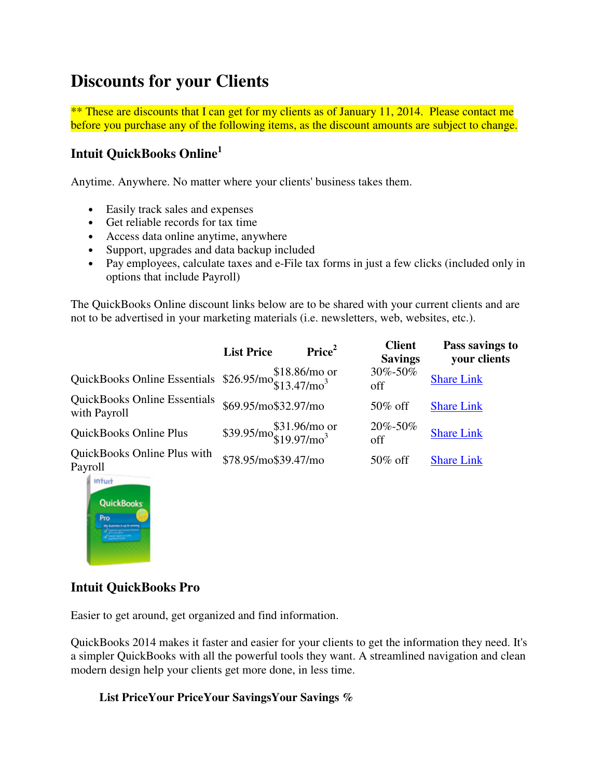# **Discounts for your Clients**

\*\* These are discounts that I can get for my clients as of January 11, 2014. Please contact me before you purchase any of the following items, as the discount amounts are subject to change.

# **Intuit QuickBooks Online<sup>1</sup>**

Anytime. Anywhere. No matter where your clients' business takes them.

- Easily track sales and expenses
- Get reliable records for tax time
- Access data online anytime, anywhere
- Support, upgrades and data backup included
- Pay employees, calculate taxes and e-File tax forms in just a few clicks (included only in options that include Payroll)

The QuickBooks Online discount links below are to be shared with your current clients and are not to be advertised in your marketing materials (i.e. newsletters, web, websites, etc.).

|                                                                       | <b>List Price</b>                              | Price <sup>2</sup> | <b>Client</b><br><b>Savings</b> | Pass savings to<br>your clients |
|-----------------------------------------------------------------------|------------------------------------------------|--------------------|---------------------------------|---------------------------------|
| QuickBooks Online Essentials $$26.95/mo$ $$18.86/mo$ or $$13.47/mo^3$ |                                                |                    | 30%-50%<br>off                  | <b>Share Link</b>               |
| <b>QuickBooks Online Essentials</b><br>with Payroll                   | \$69.95/mo\$32.97/mo                           |                    | $50\%$ off                      | <b>Share Link</b>               |
| QuickBooks Online Plus                                                | \$39.95/mo\$31.96/mo or \$39.95/mo\$19.97/mo\$ |                    | 20%-50%<br>off                  | <b>Share Link</b>               |
| QuickBooks Online Plus with<br>Payroll                                | \$78.95/mo\$39.47/mo                           |                    | $50\%$ off                      | <b>Share Link</b>               |



#### **Intuit QuickBooks Pro**

Easier to get around, get organized and find information.

QuickBooks 2014 makes it faster and easier for your clients to get the information they need. It's a simpler QuickBooks with all the powerful tools they want. A streamlined navigation and clean modern design help your clients get more done, in less time.

#### **List PriceYour PriceYour SavingsYour Savings %**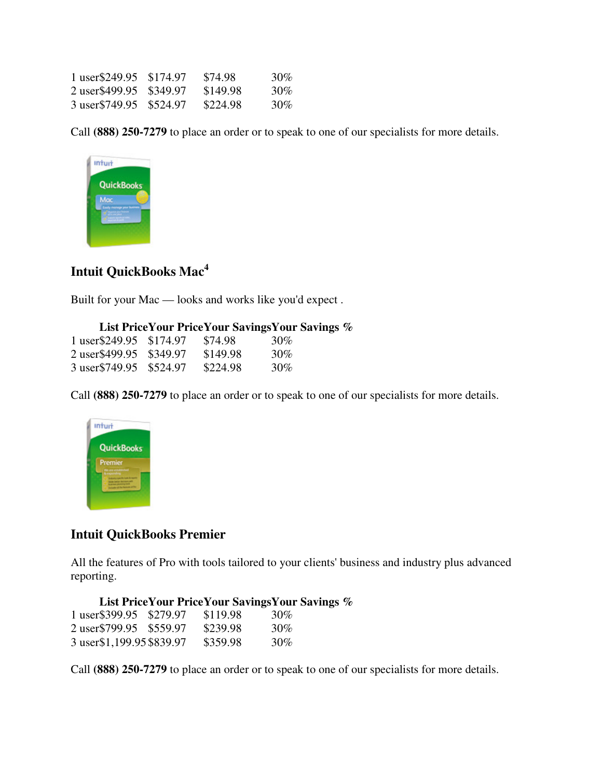| 1 user\$249.95 \$174.97  | \$74.98  | 30% |
|--------------------------|----------|-----|
| 2 user \$499.95 \$349.97 | \$149.98 | 30% |
| 3 user\$749.95 \$524.97  | \$224.98 | 30% |

Call **(888) 250-7279** to place an order or to speak to one of our specialists for more details.



# **Intuit QuickBooks Mac<sup>4</sup>**

Built for your Mac — looks and works like you'd expect .

#### **List PriceYour PriceYour SavingsYour Savings %**

| 1 user\$249.95 \$174.97 | \$74.98  | 30%    |
|-------------------------|----------|--------|
| 2 user\$499.95 \$349.97 | \$149.98 | 30%    |
| 3 user\$749.95 \$524.97 | \$224.98 | $30\%$ |

Call **(888) 250-7279** to place an order or to speak to one of our specialists for more details.



#### **Intuit QuickBooks Premier**

All the features of Pro with tools tailored to your clients' business and industry plus advanced reporting.

#### **List PriceYour PriceYour SavingsYour Savings %**

| 1 user\$399.95 \$279.97   | \$119.98 | 30% |
|---------------------------|----------|-----|
| 2 user\$799.95 \$559.97   | \$239.98 | 30% |
| 3 user\$1,199.95 \$839.97 | \$359.98 | 30% |

Call **(888) 250-7279** to place an order or to speak to one of our specialists for more details.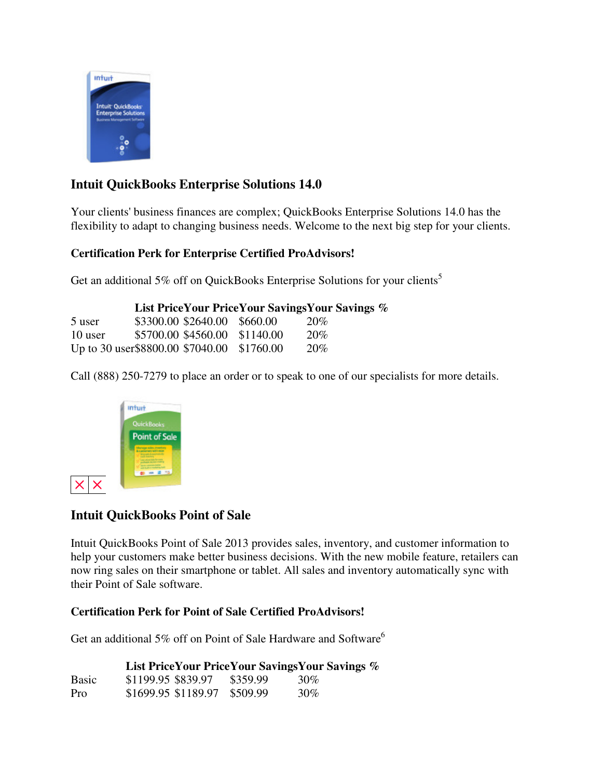

### **Intuit QuickBooks Enterprise Solutions 14.0**

Your clients' business finances are complex; QuickBooks Enterprise Solutions 14.0 has the flexibility to adapt to changing business needs. Welcome to the next big step for your clients.

#### **Certification Perk for Enterprise Certified ProAdvisors!**

Get an additional 5% off on QuickBooks Enterprise Solutions for your clients<sup>5</sup>

|                                            |                               | <b>List Price Your Price Your Savings Your Savings %</b> |
|--------------------------------------------|-------------------------------|----------------------------------------------------------|
| 5 user                                     | \$3300.00 \$2640.00 \$660.00  | 20\%                                                     |
| 10 user                                    | \$5700.00 \$4560.00 \$1140.00 | 20%                                                      |
| Up to 30 user\$8800.00 \$7040.00 \$1760.00 |                               | 20%                                                      |

Call (888) 250-7279 to place an order or to speak to one of our specialists for more details.



### **Intuit QuickBooks Point of Sale**

Intuit QuickBooks Point of Sale 2013 provides sales, inventory, and customer information to help your customers make better business decisions. With the new mobile feature, retailers can now ring sales on their smartphone or tablet. All sales and inventory automatically sync with their Point of Sale software.

#### **Certification Perk for Point of Sale Certified ProAdvisors!**

Get an additional 5% off on Point of Sale Hardware and Software<sup>6</sup>

|              | List PriceYour PriceYour SavingsYour Savings % |          |        |  |
|--------------|------------------------------------------------|----------|--------|--|
| <b>Basic</b> | \$1199.95 \$839.97                             | \$359.99 | 30%    |  |
| Pro          | \$1699.95 \$1189.97 \$509.99                   |          | $30\%$ |  |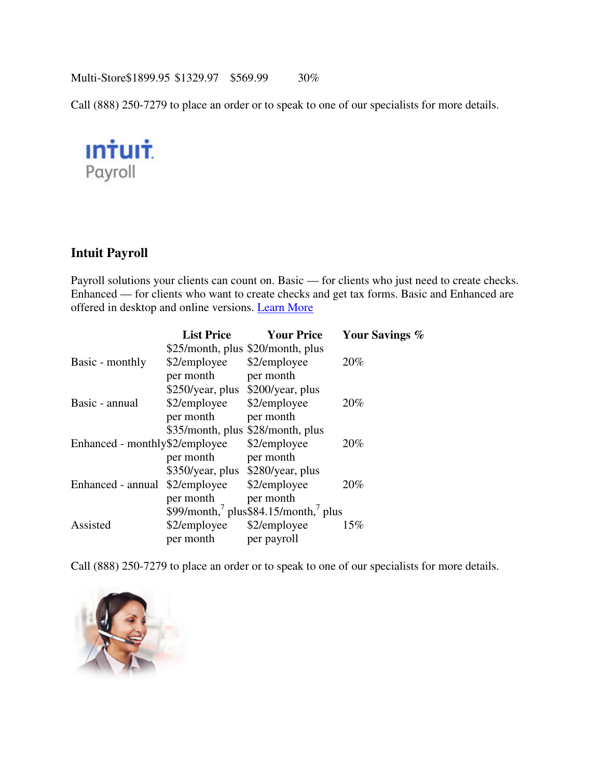Multi-Store\$1899.95 \$1329.97 \$569.99 30%

Call (888) 250-7279 to place an order or to speak to one of our specialists for more details.



#### **Intuit Payroll**

Payroll solutions your clients can count on. Basic — for clients who just need to create checks. Enhanced — for clients who want to create checks and get tax forms. Basic and Enhanced are offered in desktop and online versions. Learn More

|                                | <b>List Price</b>                 | <b>Your Price</b>                   | Your Savings % |
|--------------------------------|-----------------------------------|-------------------------------------|----------------|
|                                | \$25/month, plus \$20/month, plus |                                     |                |
| Basic - monthly                | \$2/employee                      | \$2/employee                        | 20%            |
|                                | per month                         | per month                           |                |
|                                | \$250/year, plus \$200/year, plus |                                     |                |
| Basic - annual                 | \$2/employee                      | \$2/employee                        | 20%            |
|                                | per month                         | per month                           |                |
|                                |                                   | \$35/month, plus \$28/month, plus   |                |
| Enhanced - monthly\$2/employee |                                   | \$2/employee                        | 20%            |
|                                | per month                         | per month                           |                |
|                                | \$350/year, plus \$280/year, plus |                                     |                |
| Enhanced - annual              | \$2/employee                      | \$2/employee                        | 20%            |
|                                | per month                         | per month                           |                |
|                                |                                   | \$99/month, plus\$84.15/month, plus |                |
| Assisted                       | \$2/employee                      | \$2/employee                        | 15%            |
|                                | per month                         | per payroll                         |                |

Call (888) 250-7279 to place an order or to speak to one of our specialists for more details.